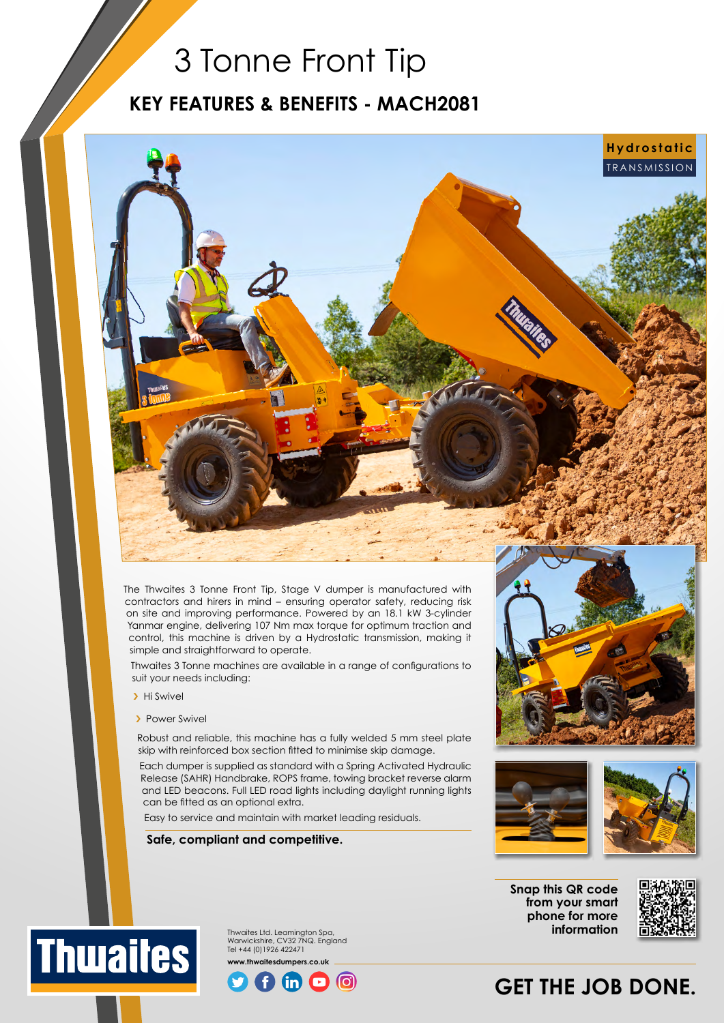## 3 Tonne Front Tip

### **KEY FEATURES & BENEFITS - MACH2081**

TRANSMISSION

The Thwaites 3 Tonne Front Tip, Stage V dumper is manufactured with contractors and hirers in mind – ensuring operator safety, reducing risk on site and improving performance. Powered by an 18.1 kW 3-cylinder Yanmar engine, delivering 107 Nm max torque for optimum traction and control, this machine is driven by a Hydrostatic transmission, making it simple and straightforward to operate.

Thwaites 3 Tonne machines are available in a range of configurations to suit your needs including:

- > Hi Swivel
- > Power Swivel

Robust and reliable, this machine has a fully welded 5 mm steel plate skip with reinforced box section fitted to minimise skip damage.

Each dumper is supplied as standard with a Spring Activated Hydraulic Release (SAHR) Handbrake, ROPS frame, towing bracket reverse alarm and LED beacons. Full LED road lights including daylight running lights can be fitted as an optional extra.

Easy to service and maintain with market leading residuals.

**Safe, compliant and competitive.**



**Hydrostatic**



**Snap this QR code from your smart phone for more information**



Thwaites Ltd. Leamington Spa, **Thwaites** Warwickshire, CV32 7NQ. England Tel +44 (0)1926 422471 **www.thwaitesdumpers.co.uk**



## **GET THE JOB DONE.**